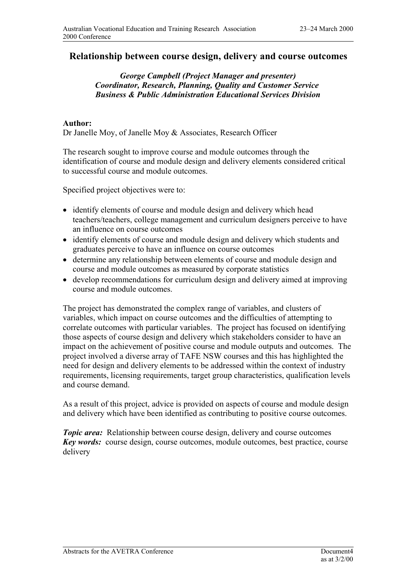## **Relationship between course design, delivery and course outcomes**

## *George Campbell (Project Manager and presenter) Coordinator, Research, Planning, Quality and Customer Service Business & Public Administration Educational Services Division*

## **Author:**

Dr Janelle Moy, of Janelle Moy & Associates, Research Officer

The research sought to improve course and module outcomes through the identification of course and module design and delivery elements considered critical to successful course and module outcomes.

Specified project objectives were to:

- identify elements of course and module design and delivery which head teachers/teachers, college management and curriculum designers perceive to have an influence on course outcomes
- identify elements of course and module design and delivery which students and graduates perceive to have an influence on course outcomes
- determine any relationship between elements of course and module design and course and module outcomes as measured by corporate statistics
- develop recommendations for curriculum design and delivery aimed at improving course and module outcomes.

The project has demonstrated the complex range of variables, and clusters of variables, which impact on course outcomes and the difficulties of attempting to correlate outcomes with particular variables. The project has focused on identifying those aspects of course design and delivery which stakeholders consider to have an impact on the achievement of positive course and module outputs and outcomes. The project involved a diverse array of TAFE NSW courses and this has highlighted the need for design and delivery elements to be addressed within the context of industry requirements, licensing requirements, target group characteristics, qualification levels and course demand.

As a result of this project, advice is provided on aspects of course and module design and delivery which have been identified as contributing to positive course outcomes.

*Topic area:* Relationship between course design, delivery and course outcomes *Key words:* course design, course outcomes, module outcomes, best practice, course delivery